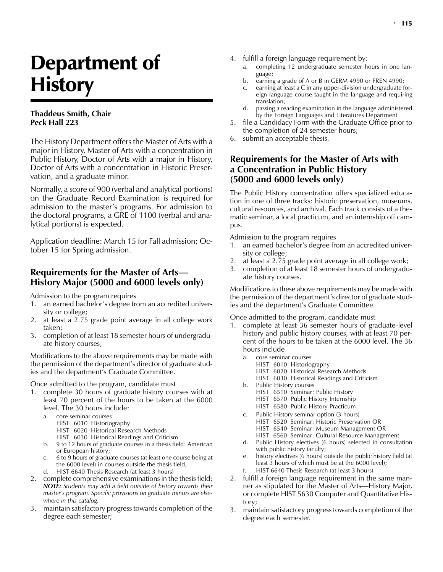# Department of **History**

## **Thaddeus Smith, Chair Peck Hall 223**

The History Department offers the Master of Arts with a major in History, Master of Arts with a concentration in Public History, Doctor of Arts with a major in History, Doctor of Arts with a concentration in Historic Preservation, and a graduate minor.

Normally, a score of 900 (verbal and analytical portions) on the Graduate Record Examination is required for admission to the master's programs. For admission to the doctoral programs, a GRE of 1100 (verbal and analytical portions) is expected.

Application deadline: March 15 for Fall admission; October 15 for Spring admission.

# **Requirements for the Master of Arts— History Major (5000 and 6000 levels only)**

Admission to the program requires

- 1. an earned bachelor's degree from an accredited university or college;
- 2. at least a 2.75 grade point average in all college work taken;
- 3. completion of at least 18 semester hours of undergraduate history courses;

Modifications to the above requirements may be made with the permission of the department's director of graduate studies and the department's Graduate Committee.

Once admitted to the program, candidate must

- 1. complete 30 hours of graduate history courses with at least 70 percent of the hours to be taken at the 6000 level. The 30 hours include:
	- a. core seminar courses
		- HIST 6010 Historiography
		- HIST 6020 Historical Research Methods
		- HIST 6030 Historical Readings and Criticism
	- b. 9 to 12 hours of graduate courses in a thesis field: American or European history;
	- c. 6 to 9 hours of graduate courses (at least one course being at the 6000 level) in courses outside the thesis field;
	- d. HIST 6640 Thesis Research (at least 3 hours)
- 2. complete comprehensive examinations in the thesis field; *NOTE: Students may add a field outside of history towards their master's program. Specific provisions on graduate minors are elsewhere in this catalog.*
- 3. maintain satisfactory progress towards completion of the degree each semester;
- 4. fulfill a foreign language requirement by:
	- a. completing 12 undergraduate semester hours in one language;
	- b. earning a grade of A or B in GERM 4990 or FREN 4990;
	- c. earning at least a C in any upper-division undergraduate foreign language course taught in the language and requiring translation;
	- d. passing a reading examination in the language administered by the Foreign Languages and Literatures Department
- 5. file a Candidacy Form with the Graduate Office prior to the completion of 24 semester hours;
- 6. submit an acceptable thesis.

## **Requirements for the Master of Arts with a Concentration in Public History (5000 and 6000 levels only)**

The Public History concentration offers specialized education in one of three tracks: historic preservation, museums, cultural resources, and archival. Each track consists of a thematic seminar, a local practicum, and an internship off campus.

Admission to the program requires

- 1. an earned bachelor's degree from an accredited university or college;
- 2. at least a 2.75 grade point average in all college work;
- 3. completion of at least 18 semester hours of undergraduate history courses.

Modifications to these above requirements may be made with the permission of the department's director of graduate studies and the department's Graduate Committee.

Once admitted to the program, candidate must

- 1. complete at least 36 semester hours of graduate-level history and public history courses, with at least 70 percent of the hours to be taken at the 6000 level. The 36 hours include
	- core seminar courses
		- HIST 6010 Historiography
		- HIST 6020 Historical Research Methods
		- HIST 6030 Historical Readings and Criticism
	- b. Public History courses
		- HIST 6510 Seminar: Public History
		- HIST 6570 Public History Internship
		- HIST 6580 Public History Practicum
	- c. Public History seminar option (3 hours) HIST 6520 Seminar: Historic Preservation OR
		- HIST 6540 Seminar: Museum Management OR
		- HIST 6560 Seminar: Cultural Resource Management
	- d. Public History electives (6 hours) selected in consultation with public history faculty;
	- e. history electives (6 hours) outside the public history field (at least 3 hours of which must be at the 6000 level);
	- f. HIST 6640 Thesis Research (at least 3 hours)
- 2. fulfill a foreign language requirement in the same manner as stipulated for the Master of Arts—History Major, or complete HIST 5630 Computer and Quantitative History;
- 3. maintain satisfactory progress towards completion of the degree each semester.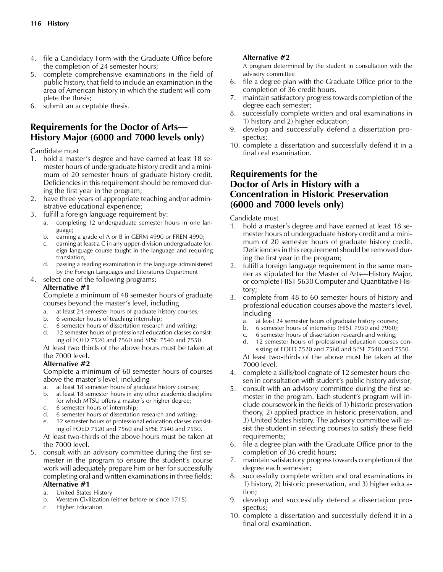- 4. file a Candidacy Form with the Graduate Office before the completion of 24 semester hours;
- 5. complete comprehensive examinations in the field of public history, that field to include an examination in the area of American history in which the student will complete the thesis;
- 6. submit an acceptable thesis.

# **Requirements for the Doctor of Arts— History Major (6000 and 7000 levels only)**

Candidate must

- 1. hold a master's degree and have earned at least 18 semester hours of undergraduate history credit and a minimum of 20 semester hours of graduate history credit. Deficiencies in this requirement should be removed during the first year in the program;
- 2. have three years of appropriate teaching and/or administrative educational experience;
- 3. fulfill a foreign language requirement by:
	- a. completing 12 undergraduate semester hours in one language;
	- b. earning a grade of A or B in GERM 4990 or FREN 4990;
	- c. earning at least a C in any upper-division undergraduate foreign language course taught in the language and requiring translation;
	- d. passing a reading examination in the language administered by the Foreign Languages and Literatures Department
- 4. select one of the following programs:

#### **Alternative #1**

Complete a minimum of 48 semester hours of graduate courses beyond the master's level, including

- at least 24 semester hours of graduate history courses;
- b. 6 semester hours of teaching internship;
- c. 6 semester hours of dissertation research and writing;
- d. 12 semester hours of professional education classes consisting of FOED 7520 and 7560 and SPSE 7540 and 7550.

At least two thirds of the above hours must be taken at the 7000 level.

#### **Alternative #2**

Complete a minimum of 60 semester hours of courses above the master's level, including

- a. at least 18 semester hours of graduate history courses;
- b. at least 18 semester hours in any other academic discipline for which MTSU offers a master's or higher degree;
- c. 6 semester hours of internship;
- d. 6 semester hours of dissertation research and writing;
- 12 semester hours of professional education classes consisting of FOED 7520 and 7560 and SPSE 7540 and 7550.

At least two-thirds of the above hours must be taken at the 7000 level.

- 5. consult with an advisory committee during the first semester in the program to ensure the student's course work will adequately prepare him or her for successfully completing oral and written examinations in three fields: **Alternative #1**
	- a. United States History
	- b. Western Civilization (either before or since 1715)
	- c. Higher Education

### **Alternative #2**

A program determined by the student in consultation with the advisory committee

- 6. file a degree plan with the Graduate Office prior to the completion of 36 credit hours.
- 7. maintain satisfactory progress towards completion of the degree each semester;
- 8. successfully complete written and oral examinations in 1) history and 2) higher education;
- 9. develop and successfully defend a dissertation prospectus;
- 10. complete a dissertation and successfully defend it in a final oral examination.

# **Requirements for the Doctor of Arts in History with a Concentration in Historic Preservation (6000 and 7000 levels only)**

Candidate must

- 1. hold a master's degree and have earned at least 18 semester hours of undergraduate history credit and a minimum of 20 semester hours of graduate history credit. Deficiencies in this requirement should be removed during the first year in the program;
- 2. fulfill a foreign language requirement in the same manner as stipulated for the Master of Arts—History Major, or complete HIST 5630 Computer and Quantitative History;
- 3. complete from 48 to 60 semester hours of history and professional education courses above the master's level, including
	- a. at least 24 semester hours of graduate history courses;
	- b. 6 semester hours of internship (HIST 7950 and 7960);
	- c. 6 semester hours of dissertation research and writing;
	- d. 12 semester hours of professional education courses consisting of FOED 7520 and 7560 and SPSE 7540 and 7550.

At least two-thirds of the above must be taken at the 7000 level.

- 4. complete a skills/tool cognate of 12 semester hours chosen in consultation with student's public history advisor;
- 5. consult with an advisory committee during the first semester in the program. Each student's program will include coursework in the fields of 1) historic preservation theory, 2) applied practice in historic preservation, and 3) United States history. The advisory committee will assist the student in selecting courses to satisfy these field requirements;
- 6. file a degree plan with the Graduate Office prior to the completion of 36 credit hours;
- 7. maintain satisfactory progress towards completion of the degree each semester;
- 8. successfully complete written and oral examinations in 1) history, 2) historic preservation, and 3) higher education;
- 9. develop and successfully defend a dissertation prospectus;
- 10. complete a dissertation and successfully defend it in a final oral examination.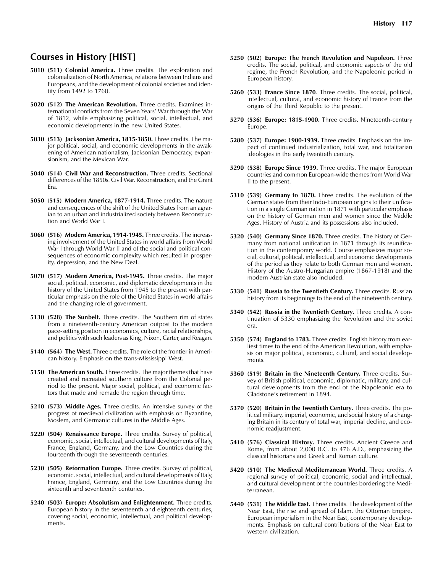# **Courses in History [HIST]**

- **5010 (511) Colonial America.** Three credits. The exploration and colonialization of North America, relations between Indians and Europeans, and the development of colonial societies and identity from 1492 to 1760.
- **5020 (512) The American Revolution.** Three credits. Examines international conflicts from the Seven Years' War through the War of 1812, while emphasizing political, social, intellectual, and economic developments in the new United States.
- **5030 (513) Jacksonian America, 1815-1850.** Three credits. The major political, social, and economic developments in the awakening of American nationalism, Jacksonian Democracy, expansionism, and the Mexican War.
- **5040 (514) Civil War and Reconstruction.** Three credits. Sectional differences of the 1850s. Civil War. Reconstruction, and the Grant Era.
- **5050** (**515) Modern America, 1877-1914.** Three credits. The nature and consequences of the shift of the United States from an agrarian to an urban and industrialized society between Reconstruction and World War I.
- **5060 (516) Modern America, 1914-1945.** Three credits. The increasing involvement of the United States in world affairs from World War I through World War II and of the social and political consequences of economic complexity which resulted in prosperity, depression, and the New Deal.
- **5070 (517) Modern America, Post-1945.** Three credits. The major social, political, economic, and diplomatic developments in the history of the United States from 1945 to the present with particular emphasis on the role of the United States in world affairs and the changing role of government.
- **5130 (528) The Sunbelt.** Three credits. The Southern rim of states from a nineteenth-century American outpost to the modern pace-setting position in economics, culture, racial relationships, and politics with such leaders as King, Nixon, Carter, and Reagan.
- **5140 (564) The West.** Three credits. The role of the frontier in American history. Emphasis on the trans-Mississippi West.
- **5150 The American South.** Three credits. The major themes that have created and recreated southern culture from the Colonial period to the present. Major social, political, and economic factors that made and remade the region through time.
- **5210 (573) Middle Ages.** Three credits. An intensive survey of the progress of medieval civilization with emphasis on Byzantine, Moslem, and Germanic cultures in the Middle Ages.
- **5220 (504) Renaissance Europe.** Three credits. Survey of political, economic, social, intellectual, and cultural developments of Italy, France, England, Germany, and the Low Countries during the fourteenth through the seventeenth centuries.
- **5230 (505) Reformation Europe.** Three credits. Survey of political, economic, social, intellectual, and cultural developments of Italy, France, England, Germany, and the Low Countries during the sixteenth and seventeenth centuries.
- **5240 (503) Europe: Absolutism and Enlightenment.** Three credits. European history in the seventeenth and eighteenth centuries, covering social, economic, intellectual, and political developments.
- **5250 (502) Europe: The French Revolution and Napoleon.** Three credits. The social, political, and economic aspects of the old regime, the French Revolution, and the Napoleonic period in European history.
- **5260 (533) France Since 1870**. Three credits. The social, political, intellectual, cultural, and economic history of France from the origins of the Third Republic to the present.
- **5270 (536) Europe: 1815-1900.** Three credits. Nineteenth-century Europe.
- **5280 (537) Europe: 1900-1939.** Three credits. Emphasis on the impact of continued industrialization, total war, and totalitarian ideologies in the early twentieth century.
- **5290 (538) Europe Since 1939.** Three credits. The major European countries and common European-wide themes from World War II to the present.
- **5310 (539) Germany to 1870.** Three credits. The evolution of the German states from their Indo-European origins to their unification in a single German nation in 1871 with particular emphasis on the history of German men and women since the Middle Ages. History of Austria and its possessions also included.
- **5320 (540) Germany Since 1870.** Three credits. The history of Germany from national unification in 1871 through its reunification in the contemporary world. Course emphasizes major social, cultural, political, intellectual, and economic developments of the period as they relate to both German men and women. History of the Austro-Hungarian empire (1867-1918) and the modern Austrian state also included.
- **5330 (541) Russia to the Twentieth Century.** Three credits. Russian history from its beginnings to the end of the nineteenth century.
- **5340 (542) Russia in the Twentieth Century.** Three credits. A continuation of 5330 emphasizing the Revolution and the soviet era.
- **5350 (574) England to 1783.** Three credits. English history from earliest times to the end of the American Revolution, with emphasis on major political, economic, cultural, and social developments.
- **5360 (519) Britain in the Nineteenth Century.** Three credits. Survey of British political, economic, diplomatic, military, and cultural developments from the end of the Napoleonic era to Gladstone's retirement in 1894.
- **5370 (520) Britain in the Twentieth Century.** Three credits. The political military, imperial, economic, and social history of a changing Britain in its century of total war, imperial decline, and economic readjustment.
- **5410 (576) Classical History.** Three credits. Ancient Greece and Rome, from about 2,000 B.C. to 476 A.D., emphasizing the classical historians and Greek and Roman culture.
- **5420 (510) The Medieval Mediterranean World.** Three credits. A regional survey of political, economic, social and intellectual, and cultural development of the countries bordering the Mediterranean.
- **5440 (531) The Middle East.** Three credits. The development of the Near East, the rise and spread of Islam, the Ottoman Empire, European imperialism in the Near East, contemporary developments. Emphasis on cultural contributions of the Near East to western civilization.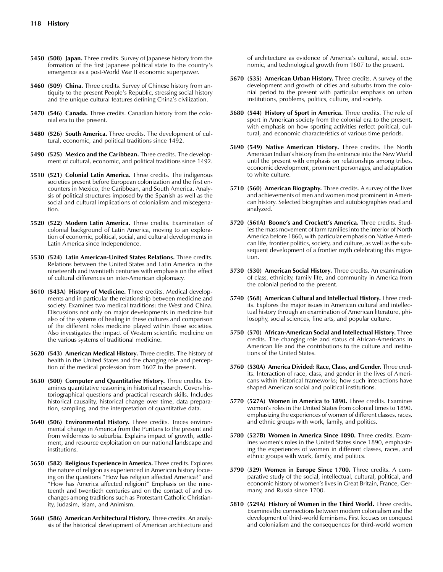- **5450 (508) Japan.** Three credits. Survey of Japanese history from the formation of the first Japanese political state to the country's emergence as a post-World War II economic superpower.
- **5460 (509) China.** Three credits. Survey of Chinese history from antiquity to the present People's Republic, stressing social history and the unique cultural features defining China's civilization.
- **5470 (546) Canada.** Three credits. Canadian history from the colonial era to the present.
- **5480 (526) South America.** Three credits. The development of cultural, economic, and political traditions since 1492.
- **5490 (525) Mexico and the Caribbean.** Three credits. The development of cultural, economic, and political traditions since 1492.
- **5510 (521) Colonial Latin America.** Three credits. The indigenous societies present before European colonization and the first encounters in Mexico, the Caribbean, and South America. Analysis of political structures imposed by the Spanish as well as the social and cultural implications of colonialism and miscegenation.
- **5520 (522) Modern Latin America.** Three credits. Examination of colonial background of Latin America, moving to an exploration of economic, political, social, and cultural developments in Latin America since Independence.
- **5530 (524) Latin American-United States Relations.** Three credits. Relations between the United States and Latin America in the nineteenth and twentieth centuries with emphasis on the effect of cultural differences on inter-American diplomacy.
- **5610 (543A) History of Medicine.** Three credits. Medical developments and in particular the relationship between medicine and society. Examines two medical traditions: the West and China. Discussions not only on major developments in medicine but also of the systems of healing in these cultures and comparison of the different roles medicine played within these societies. Also investigates the impact of Western scientific medicine on the various systems of traditional medicine.
- **5620 (543) American Medical History.** Three credits. The history of health in the United States and the changing role and perception of the medical profession from 1607 to the present.
- **5630 (500) Computer and Quantitative History.** Three credits. Examines quantitative reasoning in historical research. Covers historiographical questions and practical research skills. Includes historical causality, historical change over time, data preparation, sampling, and the interpretation of quantitative data.
- **5640 (506) Environmental History.** Three credits. Traces environmental change in America from the Puritans to the present and from wilderness to suburbia. Explains impact of growth, settlement, and resource exploitation on our national landscape and institutions.
- **5650 (582) Religious Experience in America.** Three credits. Explores the nature of religion as experienced in American history focusing on the questions "How has religion affected America?" and "How has America affected religion?" Emphasis on the nineteenth and twentieth centuries and on the contact of and exchanges among traditions such as Protestant Catholic Christianity, Judasim, Islam, and Animism.
- **5660 (586) American Architectural History.** Three credits. An analysis of the historical development of American architecture and

of architecture as evidence of America's cultural, social, economic, and technological growth from 1607 to the present.

- **5670 (535) American Urban History.** Three credits. A survey of the development and growth of cities and suburbs from the colonial period to the present with particular emphasis on urban institutions, problems, politics, culture, and society.
- **5680 (544) History of Sport in America.** Three credits. The role of sport in American society from the colonial era to the present, with emphasis on how sporting activities reflect political, cultural, and economic characteristics of various time periods.
- **5690 (549) Native American History.** Three credits. The North American Indian's history from the entrance into the New World until the present with emphasis on relationships among tribes, economic development, prominent personages, and adaptation to white culture.
- **5710 (560) American Biography.** Three credits. A survey of the lives and achievements of men and women most prominent in American history. Selected biographies and autobiographies read and analyzed.
- **5720 (561A) Boone's and Crockett's America.** Three credits. Studies the mass movement of farm families into the interior of North America before 1860, with particular emphasis on Native American life, frontier politics, society, and culture, as well as the subsequent development of a frontier myth celebrating this migration.
- **5730 (530) American Social History.** Three credits. An examination of class, ethnicity, family life, and community in America from the colonial period to the present.
- **5740 (568) American Cultural and Intellectual History.** Three credits. Explores the major issues in American cultural and intellectual history through an examination of American literature, philosophy, social sciences, fine arts, and popular culture.
- **5750 (570) African-American Social and Intellectual History.** Three credits. The changing role and status of African-Americans in American life and the contributions to the culture and institutions of the United States.
- **5760 (530A) America Divided: Race, Class, and Gender.** Three credits. Interaction of race, class, and gender in the lives of Americans within historical frameworks; how such interactions have shaped American social and political institutions.
- **5770 (527A) Women in America to 1890.** Three credits. Examines women's roles in the United States from colonial times to 1890, emphasizing the experiences of women of different classes, races, and ethnic groups with work, family, and politics.
- **5780 (527B) Women in America Since 1890.** Three credits. Examines women's roles in the United States since 1890, emphasizing the experiences of women in different classes, races, and ethnic groups with work, family, and politics.
- **5790** (**529) Women in Europe Since 1700.** Three credits. A comparative study of the social, intellectual, cultural, political, and economic history of women's lives in Great Britain, France, Germany, and Russia since 1700.
- **5810 (529A) History of Women in the Third World.** Three credits. Examines the connections between modern colonialism and the development of third-world feminisms. First focuses on conquest and colonialism and the consequences for third-world women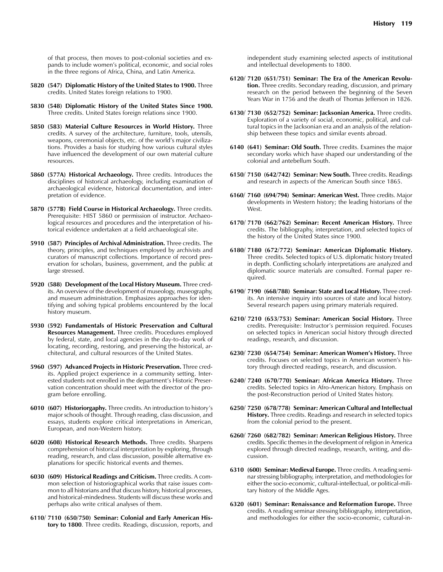of that process, then moves to post-colonial societies and expands to include women's political, economic, and social roles in the three regions of Africa, China, and Latin America.

- **5820 (547) Diplomatic History of the United States to 1900.** Three credits. United States foreign relations to 1900.
- **5830 (548) Diplomatic History of the United States Since 1900.** Three credits. United States foreign relations since 1900.
- **5850 (583) Material Culture Resources in World History.** Three credits. A survey of the architecture, furniture, tools, utensils, weapons, ceremonial objects, etc. of the world's major civilizations. Provides a basis for studying how various cultural styles have influenced the development of our own material culture resources.
- **5860 (577A) Historical Archaeology.** Three credits. Introduces the disciplines of historical archaeology, including examination of archaeological evidence, historical documentation, and interpretation of evidence.
- **5870 (577B) Field Course in Historical Archaeology.** Three credits. Prerequisite: HIST 5860 or permission of instructor. Archaeological resources and procedures and the interpretation of historical evidence undertaken at a field archaeological site.
- **5910 (587) Principles of Archival Administration.** Three credits. The theory, principles, and techniques employed by archivists and curators of manuscript collections. Importance of record preservation for scholars, business, government, and the public at large stressed.
- **5920 (588) Development of the Local History Museum.** Three credits. An overview of the development of museology, museography, and museum administration. Emphasizes approaches for identifying and solving typical problems encountered by the local history museum.
- **5930 (592) Fundamentals of Historic Preservation and Cultural Resources Management.** Three credits. Procedures employed by federal, state, and local agencies in the day-to-day work of locating, recording, restoring, and preserving the historical, architectural, and cultural resources of the United States.
- **5960 (597) Advanced Projects in Historic Preservation.** Three credits. Applied project experience in a community setting. Interested students not enrolled in the department's Historic Preservation concentration should meet with the director of the program before enrolling.
- **6010 (607) Historiorgaphy.** Three credits. An introduction to history's major schools of thought. Through reading, class discussion, and essays, students explore critical interpretations in American, European, and non-Western history.
- **6020 (608) Historical Research Methods.** Three credits. Sharpens comprehension of historical interpretation by exploring, through reading, research, and class discussion, possible alternative explanations for specific historical events and themes.
- **6030 (609) Historical Readings and Criticism.** Three credits. A common selection of historiographical works that raise issues common to all historians and that discuss history, historical processes, and historical-mindedness. Students will discuss these works and perhaps also write critical analyses of them.
- **6110/ 7110 (650/750) Seminar: Colonial and Early American History to 1800**. Three credits. Readings, discussion, reports, and

independent study examining selected aspects of institutional and intellectual developments to 1800.

- **6120/ 7120 (651/751) Seminar: The Era of the American Revolution.** Three credits. Secondary reading, discussion, and primary research on the period between the beginning of the Seven Years War in 1756 and the death of Thomas Jefferson in 1826.
- **6130/ 7130 (652/752) Seminar: Jacksonian America.** Three credits. Exploration of a variety of social, economic, political, and cultural topics in the Jacksonian era and an analysis of the relationship between these topics and similar events abroad.
- **6140 (641) Seminar: Old South.** Three credits. Examines the major secondary works which have shaped our understanding of the colonial and antebellum South.
- **6150/ 7150 (642/742) Seminar: New South.** Three credits. Readings and research in aspects of the American South since 1865.
- **6160/ 7160 (694/794) Seminar: American West.** Three credits. Major developments in Western history; the leading historians of the West.
- **6170/ 7170 (662/762) Seminar: Recent American History.** Three credits. The bibliography, interpretation, and selected topics of the history of the United States since 1900.
- **6180/ 7180 (672/772) Seminar: American Diplomatic History.** Three credits. Selected topics of U.S. diplomatic history treated in depth. Conflicting scholarly interpretations are analyzed and diplomatic source materials are consulted. Formal paper required.
- **6190/ 7190 (668/788) Seminar: State and Local History.** Three credits. An intensive inquiry into sources of state and local history. Several research papers using primary materials required.
- **6210/ 7210 (653/753) Seminar: American Social History.** Three credits. Prerequisite: Instructor's permission required. Focuses on selected topics in American social history through directed readings, research, and discussion.
- **6230/ 7230 (654/754) Seminar: American Women's History.** Three credits. Focuses on selected topics in American women's history through directed readings, research, and discussion.
- **6240/ 7240 (670/770) Seminar: African America History.** Three credits. Selected topics in Afro-American history. Emphasis on the post-Reconstruction period of United States history.
- **6250/ 7250 (678/778) Seminar: American Cultural and Intellectual History.** Three credits. Readings and research in selected topics from the colonial period to the present.
- **6260/ 7260 (682/782) Seminar: American Religious History.** Three credits. Specific themes in the development of religion in America explored through directed readings, research, writing, and discussion.
- **6310 (600) Seminar: Medieval Europe.** Three credits. A reading seminar stressing bibliography, interpretation, and methodologies for either the socio-economic, cultural-intellectual, or political-military history of the Middle Ages.
- **6320 (601) Seminar: Renaissance and Reformation Europe.** Three credits. A reading seminar stressing bibliography, interpretation, and methodologies for either the socio-economic, cultural-in-